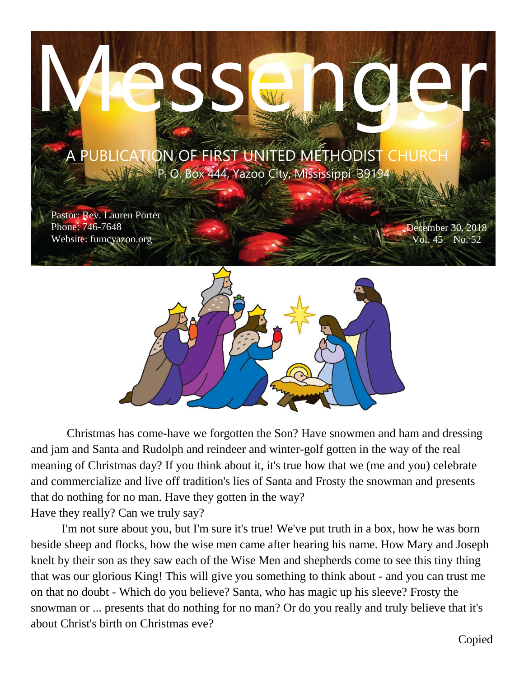

 Christmas has come-have we forgotten the Son? Have snowmen and ham and dressing and jam and Santa and Rudolph and reindeer and winter-golf gotten in the way of the real meaning of Christmas day? If you think about it, it's true how that we (me and you) celebrate and commercialize and live off tradition's lies of Santa and Frosty the snowman and presents that do nothing for no man. Have they gotten in the way? Have they really? Can we truly say?

 I'm not sure about you, but I'm sure it's true! We've put truth in a box, how he was born beside sheep and flocks, how the wise men came after hearing his name. How Mary and Joseph knelt by their son as they saw each of the Wise Men and shepherds come to see this tiny thing that was our glorious King! This will give you something to think about - and you can trust me on that no doubt - Which do you believe? Santa, who has magic up his sleeve? Frosty the snowman or ... presents that do nothing for no man? Or do you really and truly believe that it's about Christ's birth on Christmas eve?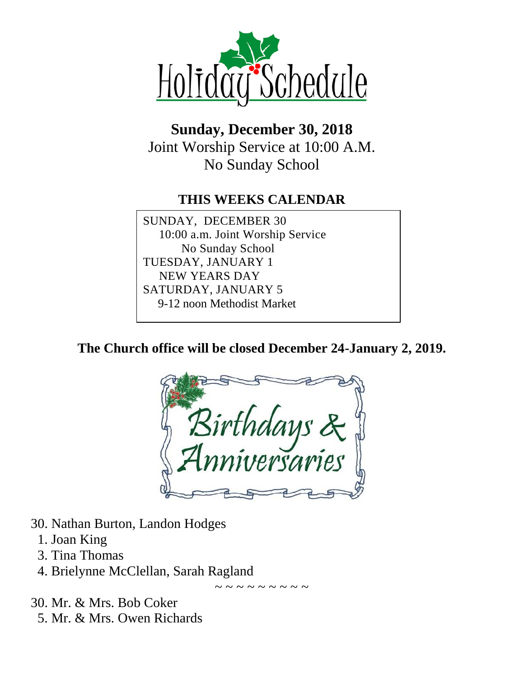

# **Sunday, December 30, 2018** Joint Worship Service at 10:00 A.M. No Sunday School

#### **THIS WEEKS CALENDAR**

SUNDAY, DECEMBER 30 10:00 a.m. Joint Worship Service No Sunday School TUESDAY, JANUARY 1 NEW YEARS DAY SATURDAY, JANUARY 5 9-12 noon Methodist Market

**The Church office will be closed December 24-January 2, 2019.**



- 30. Nathan Burton, Landon Hodges
	- 1. Joan King
	- 3. Tina Thomas
	- 4. Brielynne McClellan, Sarah Ragland

~ ~ ~ ~ ~ ~ ~ ~ ~

- 30. Mr. & Mrs. Bob Coker
	- 5. Mr. & Mrs. Owen Richards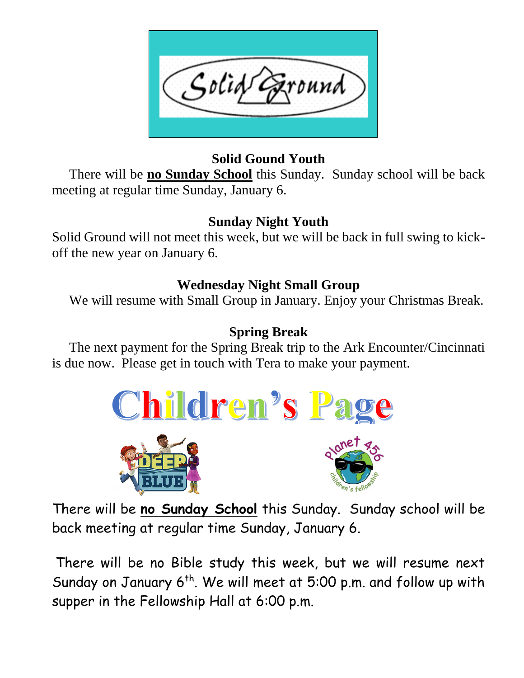

#### **Solid Gound Youth**

 There will be **no Sunday School** this Sunday. Sunday school will be back meeting at regular time Sunday, January 6.

# **Sunday Night Youth**

Solid Ground will not meet this week, but we will be back in full swing to kickoff the new year on January 6.

## **Wednesday Night Small Group**

We will resume with Small Group in January. Enjoy your Christmas Break.

# **Spring Break**

 The next payment for the Spring Break trip to the Ark Encounter/Cincinnati is due now. Please get in touch with Tera to make your payment.







There will be **no Sunday School** this Sunday. Sunday school will be back meeting at regular time Sunday, January 6.

There will be no Bible study this week, but we will resume next Sunday on January  $6^{th}$ . We will meet at 5:00 p.m. and follow up with supper in the Fellowship Hall at 6:00 p.m.